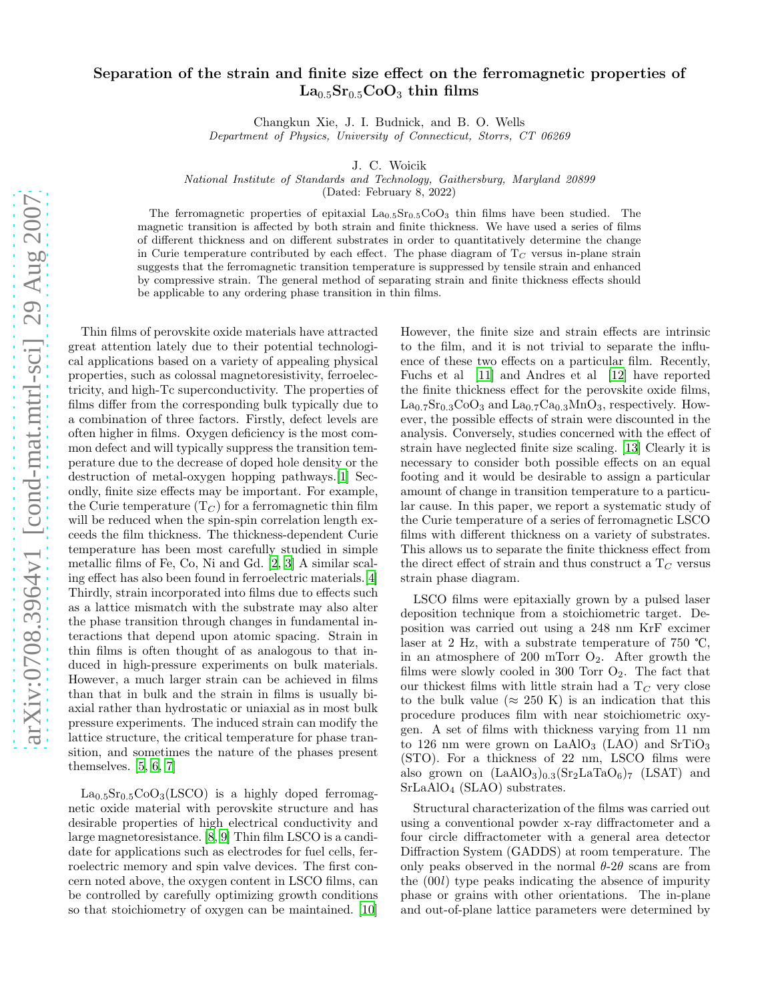## Separation of the strain and finite size effect on the ferromagnetic properties of  $La<sub>0.5</sub>Sr<sub>0.5</sub>CoO<sub>3</sub>$  thin films

Changkun Xie, J. I. Budnick, and B. O. Wells Department of Physics, University of Connecticut, Storrs, CT 06269

J. C. Woicik

National Institute of Standards and Technology, Gaithersburg, Maryland 20899

(Dated: February 8, 2022)

The ferromagnetic properties of epitaxial  $La_{0.5}Sr_{0.5}COO<sub>3</sub>$  thin films have been studied. The magnetic transition is affected by both strain and finite thickness. We have used a series of films of different thickness and on different substrates in order to quantitatively determine the change in Curie temperature contributed by each effect. The phase diagram of  $T<sub>C</sub>$  versus in-plane strain suggests that the ferromagnetic transition temperature is suppressed by tensile strain and enhanced by compressive strain. The general method of separating strain and finite thickness effects should be applicable to any ordering phase transition in thin films.

Thin films of perovskite oxide materials have attracted great attention lately due to their potential technological applications based on a variety of appealing physical properties, such as colossal magnetoresistivity, ferroelectricity, and high-Tc superconductivity. The properties of films differ from the corresponding bulk typically due to a combination of three factors. Firstly, defect levels are often higher in films. Oxygen deficiency is the most common defect and will typically suppress the transition temperature due to the decrease of doped hole density or the destruction of metal-oxygen hopping pathways.[\[1\]](#page-3-0) Secondly, finite size effects may be important. For example, the Curie temperature  $(T_C)$  for a ferromagnetic thin film will be reduced when the spin-spin correlation length exceeds the film thickness. The thickness-dependent Curie temperature has been most carefully studied in simple metallic films of Fe, Co, Ni and Gd. [\[2,](#page-3-1) [3\]](#page-3-2) A similar scaling effect has also been found in ferroelectric materials.[\[4\]](#page-3-3) Thirdly, strain incorporated into films due to effects such as a lattice mismatch with the substrate may also alter the phase transition through changes in fundamental interactions that depend upon atomic spacing. Strain in thin films is often thought of as analogous to that induced in high-pressure experiments on bulk materials. However, a much larger strain can be achieved in films than that in bulk and the strain in films is usually biaxial rather than hydrostatic or uniaxial as in most bulk pressure experiments. The induced strain can modify the lattice structure, the critical temperature for phase transition, and sometimes the nature of the phases present themselves. [\[5](#page-3-4), [6,](#page-3-5) [7\]](#page-3-6)

 $La<sub>0.5</sub>Sr<sub>0.5</sub>CoO<sub>3</sub>(LSCO)$  is a highly doped ferromagnetic oxide material with perovskite structure and has desirable properties of high electrical conductivity and large magnetoresistance. [\[8,](#page-3-7) [9\]](#page-3-8) Thin film LSCO is a candidate for applications such as electrodes for fuel cells, ferroelectric memory and spin valve devices. The first concern noted above, the oxygen content in LSCO films, can be controlled by carefully optimizing growth conditions so that stoichiometry of oxygen can be maintained. [\[10](#page-3-9)]

However, the finite size and strain effects are intrinsic to the film, and it is not trivial to separate the influence of these two effects on a particular film. Recently, Fuchs et al [\[11\]](#page-3-10) and Andres et al [\[12\]](#page-3-11) have reported the finite thickness effect for the perovskite oxide films,  $La_{0.7}Sr_{0.3}CoO_3$  and  $La_{0.7}Ca_{0.3}MnO_3$ , respectively. However, the possible effects of strain were discounted in the analysis. Conversely, studies concerned with the effect of strain have neglected finite size scaling. [\[13\]](#page-3-12) Clearly it is necessary to consider both possible effects on an equal footing and it would be desirable to assign a particular amount of change in transition temperature to a particular cause. In this paper, we report a systematic study of the Curie temperature of a series of ferromagnetic LSCO films with different thickness on a variety of substrates. This allows us to separate the finite thickness effect from the direct effect of strain and thus construct a  $T_C$  versus strain phase diagram.

LSCO films were epitaxially grown by a pulsed laser deposition technique from a stoichiometric target. Deposition was carried out using a 248 nm KrF excimer laser at 2 Hz, with a substrate temperature of 750  $\degree$ C, in an atmosphere of 200 mTorr  $O_2$ . After growth the films were slowly cooled in 300 Torr  $O_2$ . The fact that our thickest films with little strain had a  $T_C$  very close to the bulk value ( $\approx 250$  K) is an indication that this procedure produces film with near stoichiometric oxygen. A set of films with thickness varying from 11 nm to 126 nm were grown on  $LaAlO<sub>3</sub>$  (LAO) and  $SrTiO<sub>3</sub>$ (STO). For a thickness of 22 nm, LSCO films were also grown on  $(LaAlO<sub>3</sub>)<sub>0.3</sub>(Sr<sub>2</sub>LaTaO<sub>6</sub>)<sub>7</sub> (LSAT)$  and SrLaAlO<sup>4</sup> (SLAO) substrates.

Structural characterization of the films was carried out using a conventional powder x-ray diffractometer and a four circle diffractometer with a general area detector Diffraction System (GADDS) at room temperature. The only peaks observed in the normal  $\theta$ -2 $\theta$  scans are from the (00l) type peaks indicating the absence of impurity phase or grains with other orientations. The in-plane and out-of-plane lattice parameters were determined by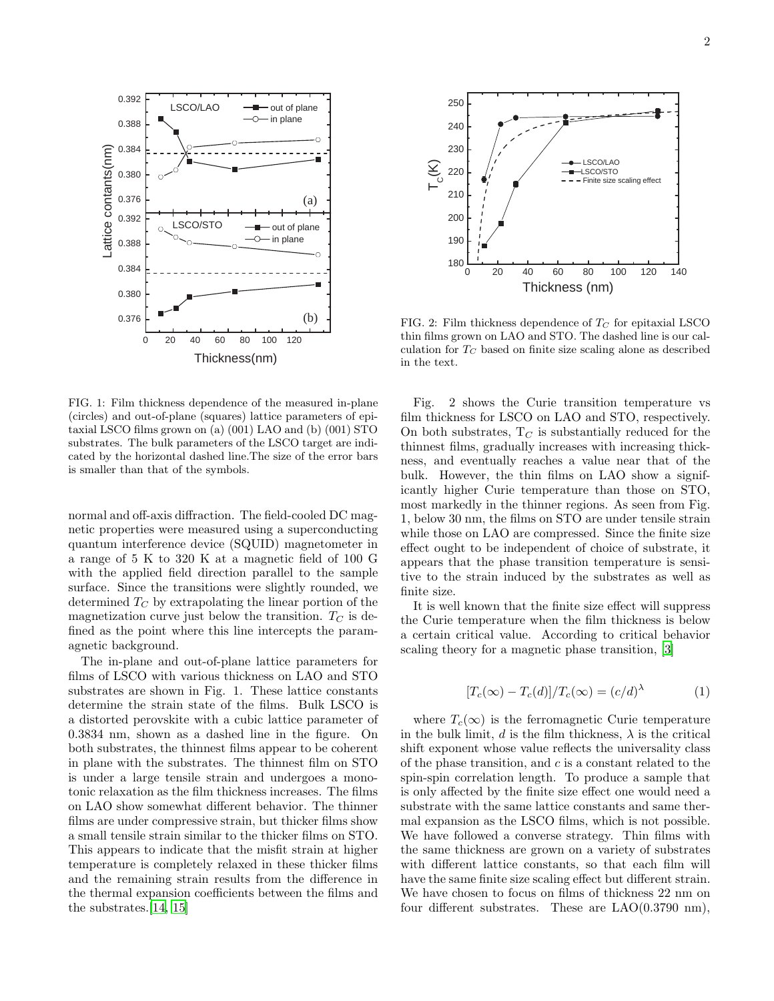

FIG. 1: Film thickness dependence of the measured in-plane (circles) and out-of-plane (squares) lattice parameters of epitaxial LSCO films grown on (a) (001) LAO and (b) (001) STO substrates. The bulk parameters of the LSCO target are indicated by the horizontal dashed line.The size of the error bars is smaller than that of the symbols.

normal and off-axis diffraction. The field-cooled DC magnetic properties were measured using a superconducting quantum interference device (SQUID) magnetometer in a range of 5 K to 320 K at a magnetic field of 100 G with the applied field direction parallel to the sample surface. Since the transitions were slightly rounded, we determined  $T_C$  by extrapolating the linear portion of the magnetization curve just below the transition.  $T_C$  is defined as the point where this line intercepts the paramagnetic background.

The in-plane and out-of-plane lattice parameters for films of LSCO with various thickness on LAO and STO substrates are shown in Fig. 1. These lattice constants determine the strain state of the films. Bulk LSCO is a distorted perovskite with a cubic lattice parameter of 0.3834 nm, shown as a dashed line in the figure. On both substrates, the thinnest films appear to be coherent in plane with the substrates. The thinnest film on STO is under a large tensile strain and undergoes a monotonic relaxation as the film thickness increases. The films on LAO show somewhat different behavior. The thinner films are under compressive strain, but thicker films show a small tensile strain similar to the thicker films on STO. This appears to indicate that the misfit strain at higher temperature is completely relaxed in these thicker films and the remaining strain results from the difference in the thermal expansion coefficients between the films and the substrates.[\[14,](#page-3-13) [15\]](#page-3-14)



FIG. 2: Film thickness dependence of  $T_C$  for epitaxial LSCO thin films grown on LAO and STO. The dashed line is our calculation for  $T_C$  based on finite size scaling alone as described in the text.

Fig. 2 shows the Curie transition temperature vs film thickness for LSCO on LAO and STO, respectively. On both substrates,  $T_C$  is substantially reduced for the thinnest films, gradually increases with increasing thickness, and eventually reaches a value near that of the bulk. However, the thin films on LAO show a significantly higher Curie temperature than those on STO, most markedly in the thinner regions. As seen from Fig. 1, below 30 nm, the films on STO are under tensile strain while those on LAO are compressed. Since the finite size effect ought to be independent of choice of substrate, it appears that the phase transition temperature is sensitive to the strain induced by the substrates as well as finite size.

It is well known that the finite size effect will suppress the Curie temperature when the film thickness is below a certain critical value. According to critical behavior scaling theory for a magnetic phase transition, [\[3\]](#page-3-2)

$$
[T_c(\infty) - T_c(d)]/T_c(\infty) = (c/d)^{\lambda}
$$
 (1)

where  $T_c(\infty)$  is the ferromagnetic Curie temperature in the bulk limit, d is the film thickness,  $\lambda$  is the critical shift exponent whose value reflects the universality class of the phase transition, and c is a constant related to the spin-spin correlation length. To produce a sample that is only affected by the finite size effect one would need a substrate with the same lattice constants and same thermal expansion as the LSCO films, which is not possible. We have followed a converse strategy. Thin films with the same thickness are grown on a variety of substrates with different lattice constants, so that each film will have the same finite size scaling effect but different strain. We have chosen to focus on films of thickness 22 nm on four different substrates. These are LAO(0.3790 nm),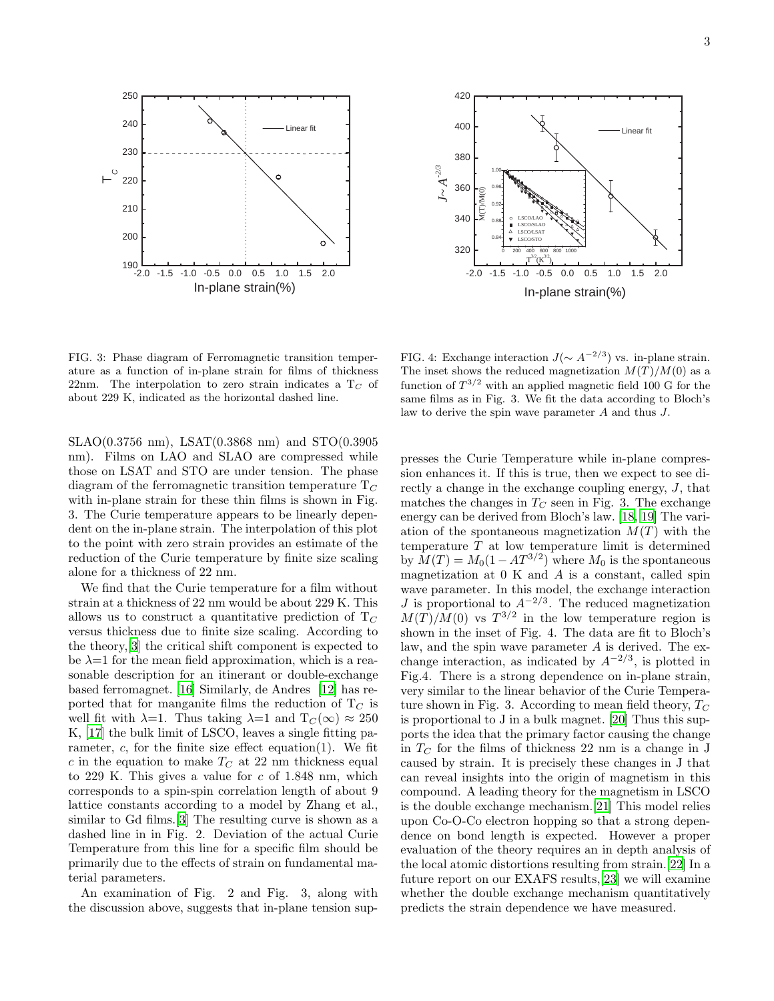



FIG. 3: Phase diagram of Ferromagnetic transition temperature as a function of in-plane strain for films of thickness 22nm. The interpolation to zero strain indicates a  $T_C$  of about 229 K, indicated as the horizontal dashed line.

SLAO(0.3756 nm), LSAT(0.3868 nm) and STO(0.3905 nm). Films on LAO and SLAO are compressed while those on LSAT and STO are under tension. The phase diagram of the ferromagnetic transition temperature  $T_C$ with in-plane strain for these thin films is shown in Fig. 3. The Curie temperature appears to be linearly dependent on the in-plane strain. The interpolation of this plot to the point with zero strain provides an estimate of the reduction of the Curie temperature by finite size scaling alone for a thickness of 22 nm.

We find that the Curie temperature for a film without strain at a thickness of 22 nm would be about 229 K. This allows us to construct a quantitative prediction of  $T_C$ versus thickness due to finite size scaling. According to the theory,[\[3\]](#page-3-2) the critical shift component is expected to be  $\lambda=1$  for the mean field approximation, which is a reasonable description for an itinerant or double-exchange based ferromagnet. [\[16](#page-3-15)] Similarly, de Andres [\[12](#page-3-11)] has reported that for manganite films the reduction of  $T_C$  is well fit with  $\lambda=1$ . Thus taking  $\lambda=1$  and  $T_C(\infty) \approx 250$ K, [\[17](#page-3-16)] the bulk limit of LSCO, leaves a single fitting parameter,  $c$ , for the finite size effect equation(1). We fit c in the equation to make  $T_C$  at 22 nm thickness equal to 229 K. This gives a value for  $c$  of 1.848 nm, which corresponds to a spin-spin correlation length of about 9 lattice constants according to a model by Zhang et al., similar to Gd films.<sup>[\[3\]](#page-3-2)</sup> The resulting curve is shown as a dashed line in in Fig. 2. Deviation of the actual Curie Temperature from this line for a specific film should be primarily due to the effects of strain on fundamental material parameters.

An examination of Fig. 2 and Fig. 3, along with the discussion above, suggests that in-plane tension sup-

FIG. 4: Exchange interaction  $J(\sim A^{-2/3})$  vs. in-plane strain. The inset shows the reduced magnetization  $M(T)/M(0)$  as a function of  $T^{3/2}$  with an applied magnetic field 100 G for the same films as in Fig. 3. We fit the data according to Bloch's law to derive the spin wave parameter A and thus J.

presses the Curie Temperature while in-plane compression enhances it. If this is true, then we expect to see directly a change in the exchange coupling energy,  $J$ , that matches the changes in  $T_C$  seen in Fig. 3. The exchange energy can be derived from Bloch's law. [\[18,](#page-3-17) [19\]](#page-3-18) The variation of the spontaneous magnetization  $M(T)$  with the temperature  $T$  at low temperature limit is determined by  $M(T) = M_0(1 - AT^{3/2})$  where  $M_0$  is the spontaneous magnetization at  $0 K$  and  $A$  is a constant, called spin wave parameter. In this model, the exchange interaction J is proportional to  $A^{-2/3}$ . The reduced magnetization  $M(T)/M(0)$  vs  $T^{3/2}$  in the low temperature region is shown in the inset of Fig. 4. The data are fit to Bloch's law, and the spin wave parameter  $A$  is derived. The exchange interaction, as indicated by  $A^{-2/3}$ , is plotted in Fig.4. There is a strong dependence on in-plane strain, very similar to the linear behavior of the Curie Temperature shown in Fig. 3. According to mean field theory,  $T_C$ is proportional to J in a bulk magnet. [\[20\]](#page-3-19) Thus this supports the idea that the primary factor causing the change in  $T_C$  for the films of thickness 22 nm is a change in J caused by strain. It is precisely these changes in J that can reveal insights into the origin of magnetism in this compound. A leading theory for the magnetism in LSCO is the double exchange mechanism.[\[21\]](#page-3-20) This model relies upon Co-O-Co electron hopping so that a strong dependence on bond length is expected. However a proper evaluation of the theory requires an in depth analysis of the local atomic distortions resulting from strain.[\[22](#page-3-21)] In a future report on our EXAFS results,[\[23\]](#page-3-22) we will examine whether the double exchange mechanism quantitatively predicts the strain dependence we have measured.